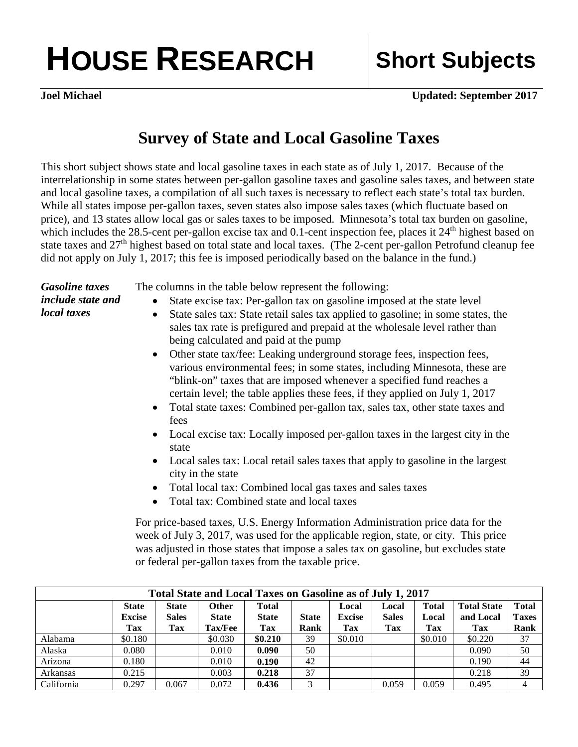## **HOUSE RESEARCH Short Subjects**

**Joel Michael Updated: September 2017**

## **Survey of State and Local Gasoline Taxes**

This short subject shows state and local gasoline taxes in each state as of July 1, 2017. Because of the interrelationship in some states between per-gallon gasoline taxes and gasoline sales taxes, and between state and local gasoline taxes, a compilation of all such taxes is necessary to reflect each state's total tax burden. While all states impose per-gallon taxes, seven states also impose sales taxes (which fluctuate based on price), and 13 states allow local gas or sales taxes to be imposed. Minnesota's total tax burden on gasoline, which includes the 28.5-cent per-gallon excise tax and  $0.1$ -cent inspection fee, places it  $24<sup>th</sup>$  highest based on state taxes and 27<sup>th</sup> highest based on total state and local taxes. (The 2-cent per-gallon Petrofund cleanup fee did not apply on July 1, 2017; this fee is imposed periodically based on the balance in the fund.)

*Gasoline taxes include state and local taxes* 

The columns in the table below represent the following:

- State excise tax: Per-gallon tax on gasoline imposed at the state level
- State sales tax: State retail sales tax applied to gasoline; in some states, the sales tax rate is prefigured and prepaid at the wholesale level rather than being calculated and paid at the pump
- Other state tax/fee: Leaking underground storage fees, inspection fees, various environmental fees; in some states, including Minnesota, these are "blink-on" taxes that are imposed whenever a specified fund reaches a certain level; the table applies these fees, if they applied on July 1, 2017
- Total state taxes: Combined per-gallon tax, sales tax, other state taxes and fees
- Local excise tax: Locally imposed per-gallon taxes in the largest city in the state
- Local sales tax: Local retail sales taxes that apply to gasoline in the largest city in the state
- Total local tax: Combined local gas taxes and sales taxes
- Total tax: Combined state and local taxes

For price-based taxes, U.S. Energy Information Administration price data for the week of July 3, 2017, was used for the applicable region, state, or city. This price was adjusted in those states that impose a sales tax on gasoline, but excludes state or federal per-gallon taxes from the taxable price.

| Total State and Local Taxes on Gasoline as of July 1, 2017 |                               |                              |                       |                                     |              |                        |                       |                       |                                 |                       |  |
|------------------------------------------------------------|-------------------------------|------------------------------|-----------------------|-------------------------------------|--------------|------------------------|-----------------------|-----------------------|---------------------------------|-----------------------|--|
|                                                            | <b>State</b><br><b>Excise</b> | <b>State</b><br><b>Sales</b> | Other<br><b>State</b> | <b>Total</b><br><b>State</b><br>Tax | <b>State</b> | Local<br><b>Excise</b> | Local<br><b>Sales</b> | <b>Total</b><br>Local | <b>Total State</b><br>and Local | Total<br><b>Taxes</b> |  |
|                                                            | Tax                           | Tax                          | <b>Tax/Fee</b>        |                                     | Rank         | Tax                    | Tax                   | <b>Tax</b>            | <b>Tax</b>                      | Rank                  |  |
| Alabama                                                    | \$0.180                       |                              | \$0.030               | \$0.210                             | 39           | \$0.010                |                       | \$0.010               | \$0.220                         | 37                    |  |
| Alaska                                                     | 0.080                         |                              | 0.010                 | 0.090                               | 50           |                        |                       |                       | 0.090                           | 50                    |  |
| Arizona                                                    | 0.180                         |                              | 0.010                 | 0.190                               | 42           |                        |                       |                       | 0.190                           | 44                    |  |
| Arkansas                                                   | 0.215                         |                              | 0.003                 | 0.218                               | 37           |                        |                       |                       | 0.218                           | 39                    |  |
| California                                                 | 0.297                         | 0.067                        | 0.072                 | 0.436                               | 3            |                        | 0.059                 | 0.059                 | 0.495                           | 4                     |  |